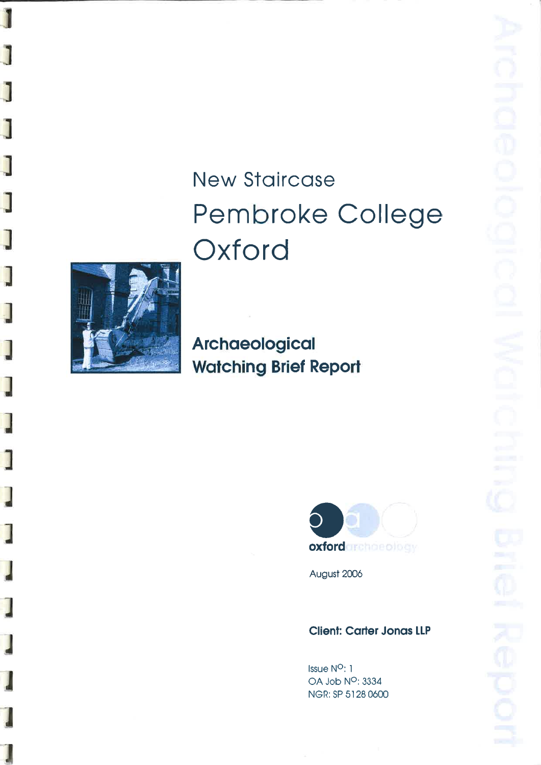# **New Staircase** Pembroke College Oxford



J

j

J

J

J

J

J

 $\overline{\phantom{a}}$ 

J

Archaeological **Watching Brief Report** 



August 2006

# **Client: Carter Jonas LLP**

Issue N<sup>O</sup>: 1 OA Job N<sup>o</sup>: 3334 NGR: SP 5128 0600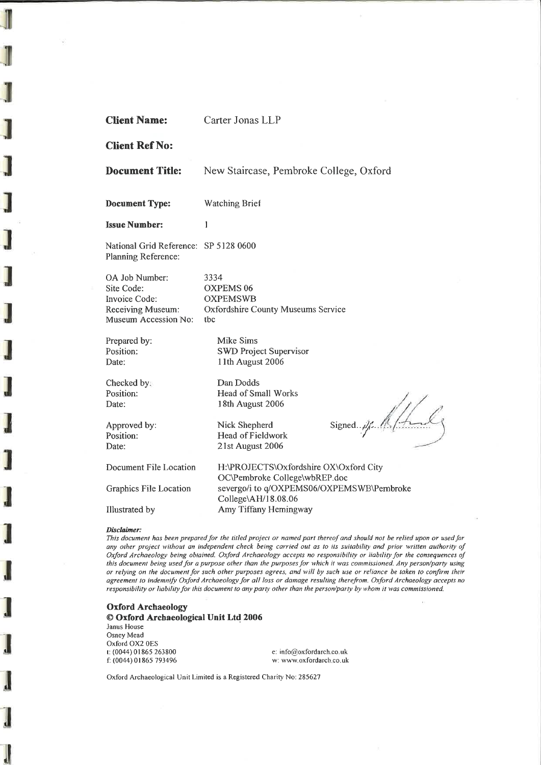| <b>Client Name:</b>                                                                        | Carter Jonas LLP                                                                         |  |  |  |
|--------------------------------------------------------------------------------------------|------------------------------------------------------------------------------------------|--|--|--|
| <b>Client Ref No:</b>                                                                      |                                                                                          |  |  |  |
| <b>Document Title:</b>                                                                     | New Staircase, Pembroke College, Oxford                                                  |  |  |  |
| <b>Document Type:</b>                                                                      | <b>Watching Brief</b>                                                                    |  |  |  |
| <b>Issue Number:</b>                                                                       | 1                                                                                        |  |  |  |
| National Grid Reference: SP 5128 0600<br>Planning Reference:                               |                                                                                          |  |  |  |
| OA Job Number:<br>Site Code:<br>Invoice Code:<br>Receiving Museum:<br>Museum Accession No: | 3334<br><b>OXPEMS 06</b><br><b>OXPEMSWB</b><br>Oxfordshire County Museums Service<br>tbc |  |  |  |
| Prepared by:<br>Position:<br>Date:                                                         | <b>Mike Sims</b><br><b>SWD Project Supervisor</b><br>11th August 2006                    |  |  |  |
| Checked by:<br>Position:<br>Date:                                                          | Dan Dodds<br>Head of Small Works<br>18th August 2006                                     |  |  |  |
| Approved by:<br>Position:<br>Date:                                                         | Signed. $\mathscr{A}$<br>Nick Shepherd<br>Head of Fieldwork<br>21st August 2006          |  |  |  |
| Document File Location                                                                     | H:\PROJECTS\Oxfordshire OX\Oxford City<br>OC\Pembroke College\wbREP.doc                  |  |  |  |
| Graphics File Location                                                                     | severgo/i to q/OXPEMS06/OXPEMSWB\Pembroke<br>College\AH/18.08.06                         |  |  |  |
| Illustrated by                                                                             | Amy Tiffany Hemingway                                                                    |  |  |  |

#### Disclaimer:

This document has been prepared for the titled project or named part thereof and should not be relied upon or used for any other project without an independent check being carried out as to its suitability and prior written authority of Oxford Archaeology being obtained. Oxford Archaeology accepts no responsibility or liability for the consequences of this document being used for a purpose other than the purposes for which it was commissioned. Any person/party using or relying on the document for such other purposes agrees, and will by such use or reliance be taken to confirm their agreement to indemnify Oxford Archaeology for all loss or damage resulting therefrom. Oxford Archaeology accepts no responsibility or liability for this document to any party other than the person/party by whom it was commissioned.

## Oxford Archaeology@ Oford Arehaeological Unit Ltd <sup>2006</sup>

Janus House Osney Mead Oxford OX2 OES t: (0044) 0 I 865 2ó1800f: (0044) 0 I 865 79349ó

e. info@oxfordarch.co.ukw: www.oxfordarch.co.uk

Oxford Archaeological Unit Limited is a Registered Charity No: 285627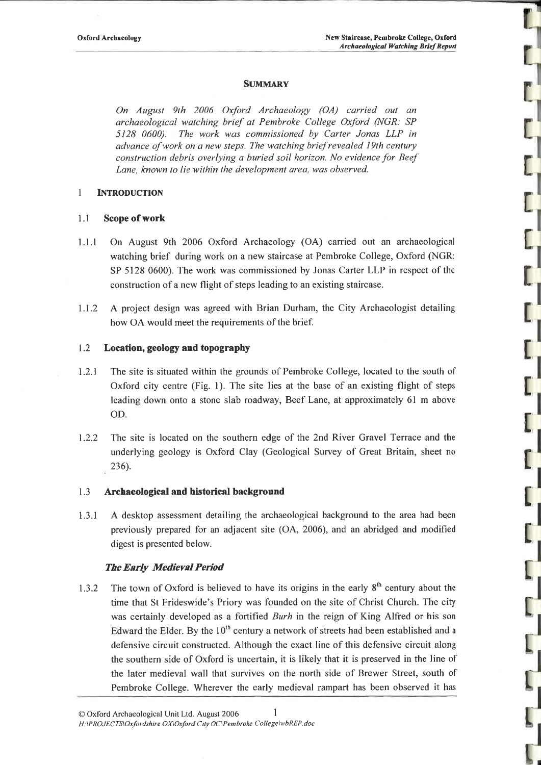ון<br>וו

# **SUMMARY**

On August 9th 2006 Oxford Archaeology (OA) carried out an archaeological watching brief at Pembroke College Oxþrd NGR: SP5128 0600). The work was commissioned by Carter Jonas LLP in advance ofwork on a new steps. The walching brief revealed l9th century construction debris overlying a buried soil horizon. No evidence for BeefLane, known to lie within lhe development area, was observed.

## 1 INTRODUCTION

# 1.1 Scope of work

- 1.1.1 On August 9rh 2006 Oxford Archaeology (OA) carried out an archaeological watching brief during work on a new staircase at Pembroke College, Oxford (NGR: SP 5128 0600). The work was commissioned by Jonas Carter LLP in respect of theconstruction of a new flight of steps leading to an existing staircase.
- 1.1.2 A project design was agreed with Brian Durham, the City Archaeologist detailinghow OA would meet the requirements of the brief.

### L2 Location, geology and topography

- 1.2.1 The site is situated within the grounds of Pembroke College, located to the south ofOxford city centre (Fig. 1). The site lies at the base of an existing flight of stepsleading down onto a stone slab roadway, Beef Lane, at approximately 6l m aboveoD.
- 1.2.2 The site is located on the southern edge of the 2nd River Gravel Terrace and theunderlying geology is Oxford Clay (Geological Survey of Great Britain, sheet no236).

# 1.3 Archaeological and historical background

1.3.1 A desktop assessment detailing the archaeological background to the area had beenpreviously prepared for an adjacent site (OA, 2006), and an abridged and modifieddigest is presented below.

#### **The Early Medieval Period**

1.3.2 The town of Oxford is believed to have its origins in the early  $8<sup>th</sup>$  century about the time that St Frideswide's Priory was founded on the site of Christ Church. The citywas certainly developed as a fortified Burh in the reign of King Alfred or his son Edward the Elder. By the 10<sup>th</sup> century a network of streets had been established and a defensive circuit constructed. Although the exact line of this defensive circuit alongthe southern side of Oxford is uncertain, it is likely that it is preserved in the line ofthe later medieval wall that survives on the north side of Brewer Street, south ofPembroke College. Wherever the early medieval rampart has been observed it has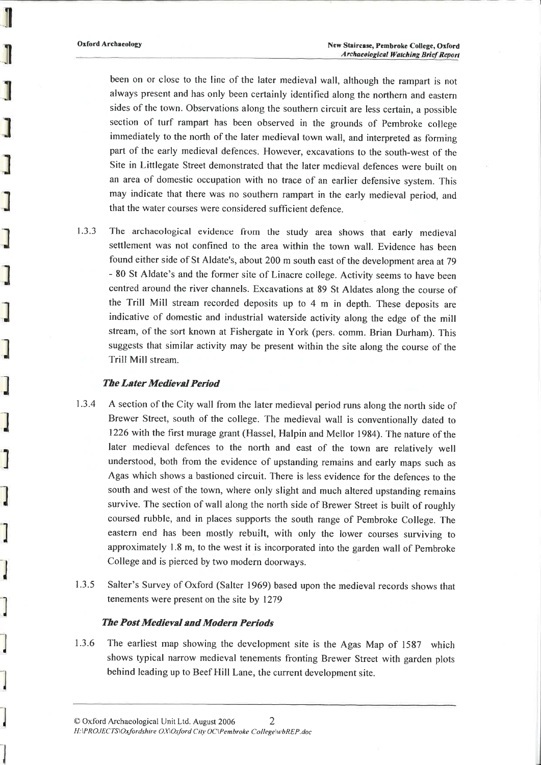Oxford Archaeology

been on or close to the line of the later medieval wall, although the rampart is not always present and has only been certainly identified along the northern and easternsides of the town. Observations along the southern circuit are less certain, a possible section of turf rampart has been observed in the grounds of Pembroke college immediately to the north of the later medieval town wall, and interpreted as forming part of the early medieval defences. However, excavations to the south-west of the Site in Littlegate Street demonstrated that the later medieval defences were built on an area of domestic occupation with no trace of an earlier defensive system. This may indicate that there was no southern rampart in the early medieval period, andthat the water courses were considered sufficient defence.

1.3.3 The archaeological evidence from the study area shows that early medieval settlement was not confined to the area within the town wall. Evidence has beenfound either side of St Aldate's, about 200 m south east of the development area at 79 - 80 St Aldate's and the former site of Linacre college. Activify seems to have been centred around the river channels. Excavations at 89 St Aldates along the course of the Trill Mill stream recorded deposits up to 4 m in depth. These deposits are indicative of domestic and industrial waterside activity along the edge of the millstream, of the sort known at Fishergate in York (pers. comm. Brian Durham). This suggests that similar activity may be present within the site along the course of theTrill Mill stream.

# The Later Medieval Period

- 1.3.4 A section of the City wall from the later medieval period runs along the north side of Brewer Street, south of the college. The medieval wall is conventionally dated to1226 with the first murage grant (Hassel, Halpin and Mellor 1984). The nature of the later medieval defences to the north and east of the town are relatively wellunderstood, both from the evidence of upstanding remains and early maps such as Agas which shows a bastioned circuit. There is less evidence for the defences to the south and west of the town, where only slight and much altered upstanding remains survive. The section of wall along the north side of Brewer Street is built of roughlycoursed rubble, and in places supports the south range of Pembroke College. The eastern end has been mostly rebuilt, with only the lower courses surviving to approximately 1.8 m, to the west it is incorporated into the garden wall of PembrokeCollege and is pierced by two modern doorways.
- 1.3.5 Salter's Survey of Oxford (Salter 1969) based upon the medieval records shows that tenements were present on the site by 1279

# **The Post Medieval and Modern Periods**

1.3.6 The earliest map showing the development site is the Agas Map of 1587 which shows typical narrow medieval tenements fronting Brewer Street with garden plotsbehind leading up to Beef Hill Lane, the current development site.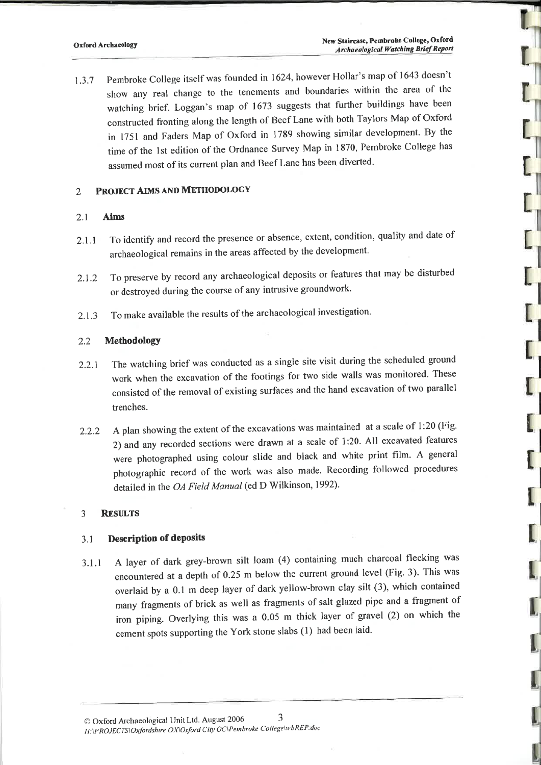r<sup>ll</sup>

 $\frac{1}{\Gamma}$ 

<sup>1</sup>.3.7 Pembroke College itself was founded in 1624, however Hollar's map of 1643 doesn't show any real change to the tenements and boundaries within the area of the watching brief. Loggan's map of 1673 suggests that further buildings have been constructed fronting along the length of Beef Lane with both Taylors Map of Oxford in 1751 and Faders Map of Oxford in 1789 showing similar development. By the time of the 1st edition of the Ordnance Survey Map in 1870, Pembroke College has assumed most of its current plan and Beef Lane has been diverted.

# 2 PROJECT AIMS AND METHODOLOGY

# 2.1 Aims

- 2.1.1 To identify and record the presence or absence, extent, condition, quality and date of archaeological remains in the areas affected by the development.
- 2.1.2 To preserve by record any archaeological deposits or features that may be disturbed or destroyed during the course of any intrusive groundwork.
- 2.1.3 To make available the results of the archaeological investigation.

## 2.2 MethodologY

- 2.2.1The watching brief was conducted as a single site visit during the scheduled ground work when the excavation of the footings for two side walls was monitored. These consisted of the removal of existing surfaces and the hand excavation of two parallel trenches.
- 2.2.2A plan showing the extent of the excavations was maintained at a scale of 1:20 (Fig. 2) and any recorded sections were drawn at a scale of 1:20. All excavated features were photographed using colour slide and black and white print film. A general photographic record of the work was also made. Recording followed procedures detailed in the OA Field Manual (ed D Wilkinson, 1992).

# 3 RESULTS

#### 3.1 Description of deposits

3.1.1 <sup>A</sup>layer of dark grey-brown silt loam (4) containing much charcoal flecking was encountered at a depth of  $0.25$  m below the current ground level (Fig. 3). This was overlaid by a 0.1 m deep layer of dark yellow-brown clay silt (3), which contained many fragments of brick as well as fragments of salt glazed pipe and a fragment of iron piping. Overlying this was a 0.05 m thick layer of gravel (2) on which the cement spots supporting the York stone slabs (l) had been laid.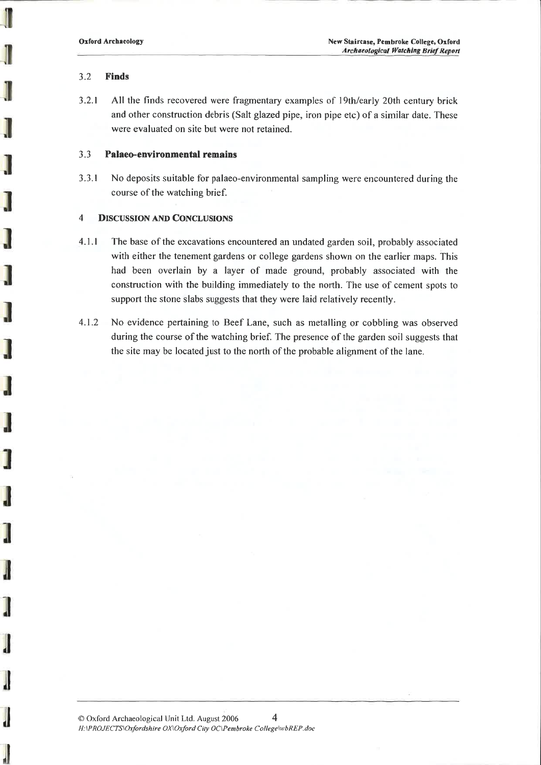# 3.2 Finds

3.2.1 All the finds recovered were fragmentary examples of l9th/early 20th century brick and other construction debris (Salt glazed pipe, iron pipe etc) of a similar date. Thesewere evaluated on site but were not retained.

# 3.3 Palaeo-environmentsl remains

3.3.1 No deposits suitable for palaeo-environmental sampling were encountered during thecourse of the watching brief.

# 4 DISCUSSION AND CONCLUSIONS

- 4.1 .1The base of the excavations encountered an undated garden soil, probably associated with either the tenement gardens or college gardens shown on the earlier maps. This had been overlain by a layer of made ground, probably associated with the construction with the building immediately to the north. The use of cement spots tosupport the stone slabs suggests that they were laid relatively recently.
- 4.t.2 No evidence pertaining to Beef Lane, such as metalling or cobbling was observed during the course of the watching brief. The presence of the garden soil suggests thatthe site may be located just to the north of the probable alignment of the lane.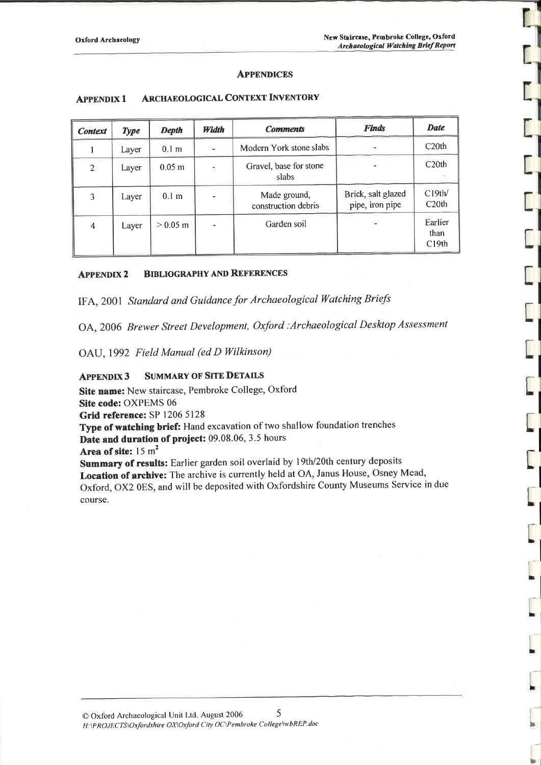ׇׇ֧֦֧֦֧֦֧֦֧֦֦֦֦֦֦֦֦֦֦֦֧֦֧֦֦֧֦֧֦֧֦֧֦֧֦֧֧֦֧֦֧֧֦֧֦֧֡֡֓֡֓֡֓֡֡֓֡֡֡֓֓֡֡֬֓֓֓֡֓֓֓֓֓֡֓֡֓֡֓֡֓֡֓֡֡֬֓֓֓֓֓֡֓֓֓֓֓֓֓֡֓

#### **APPENDICES**

| <b>Context</b> | <b>Type</b> | <b>Depth</b>      | Width | <b>Comments</b>                     | <b>Finds</b>                          | <b>Date</b>              |
|----------------|-------------|-------------------|-------|-------------------------------------|---------------------------------------|--------------------------|
|                | Layer       | 0.1 <sub>m</sub>  | œ     | Modern York stone slabs             |                                       | C20th                    |
| $\overline{2}$ | Layer       | 0.05 <sub>m</sub> |       | Gravel, base for stone<br>slabs     |                                       | C20th                    |
| 3              | Layer       | 0.1 <sub>m</sub>  |       | Made ground,<br>construction debris | Brick, salt glazed<br>pipe, iron pipe | C19th/<br>C20th          |
| $\overline{4}$ | Layer       | $> 0.05$ m        |       | Garden soil                         |                                       | Earlier<br>than<br>C19th |

#### **ARCHAEOLOGICAL CONTEXT INVENTORY APPENDIX 1**

#### **BIBLIOGRAPHY AND REFERENCES APPENDIX2**

IFA, 2001 Standard and Guidance for Archaeological Watching Briefs

OA, 2006 Brewer Street Development, Oxford : Archaeological Desktop Assessment

OAU, 1992 Field Manual (ed D Wilkinson)

#### **SUMMARY OF SITE DETAILS APPENDIX 3**

Site name: New staircase, Pembroke College, Oxford

Site code: OXPEMS 06

Grid reference: SP 1206 5128

Type of watching brief: Hand excavation of two shallow foundation trenches Date and duration of project: 09.08.06, 3.5 hours

Area of site:  $15 \text{ m}^2$ 

Summary of results: Earlier garden soil overlaid by 19th/20th century deposits Location of archive: The archive is currently held at OA, Janus House, Osney Mead, Oxford, OX2 0ES, and will be deposited with Oxfordshire County Museums Service in due course.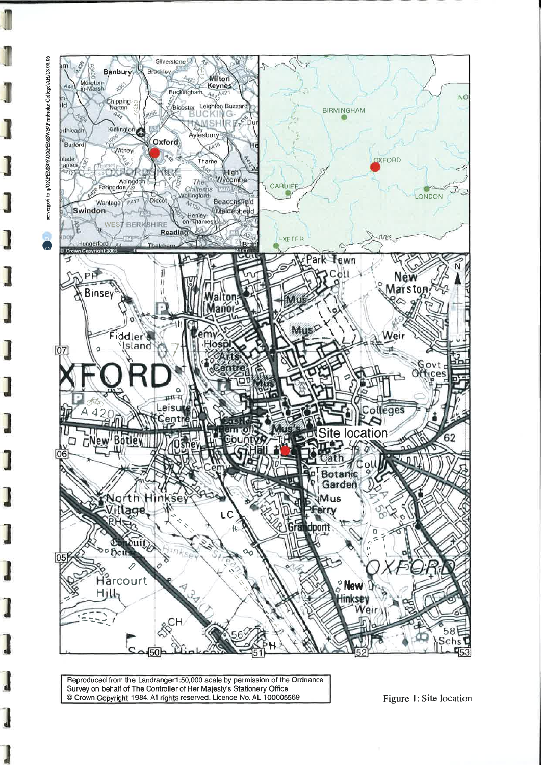

Reproduced from the Landranger1:50,000 scale by permission of the Ordnance Survey on behalf of The Controller of Her Majesty's Stationery Office Crown Copyright 1984. All rights reserved. Licence No. AL 100005569

Figure 1: Site location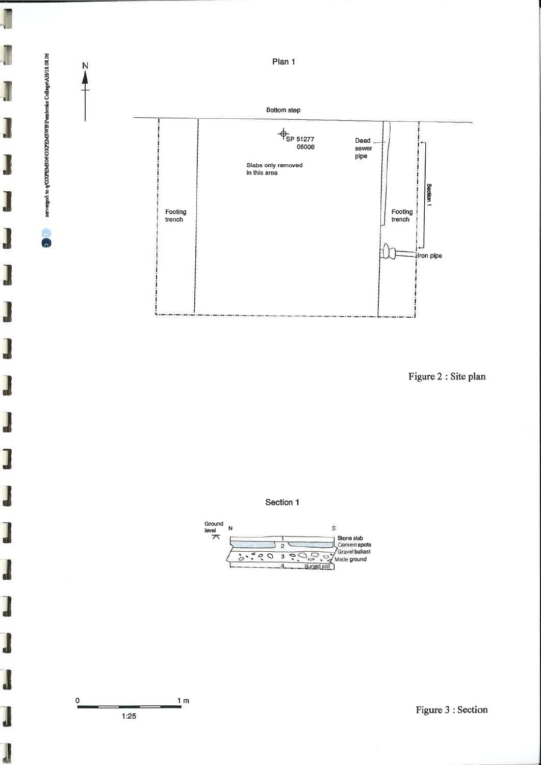

Figure 2 : Site plan







servergo/i to q/OXPEMS06\OXPEMSWB\Pembroke College\AH/18.08.06

J

J

l

J

 $\overline{\phantom{0}}$ 

J

I

ł

Figure 3 : Section